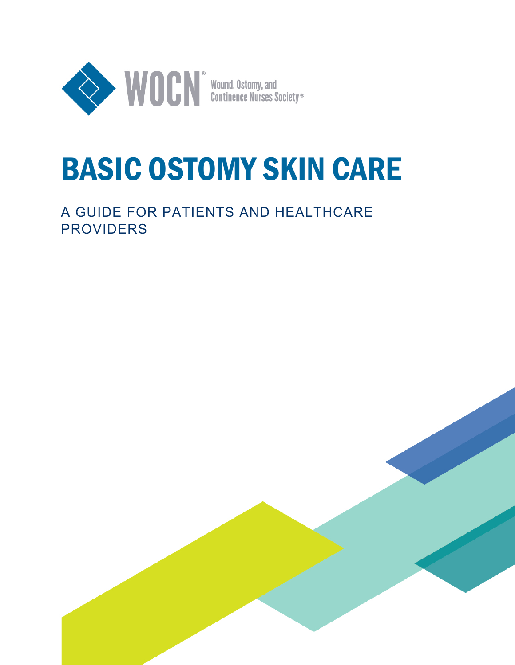

# BASIC OSTOMY SKIN CARE

# A GUIDE FOR PATIENTS AND HEALTHCARE PROVIDERS

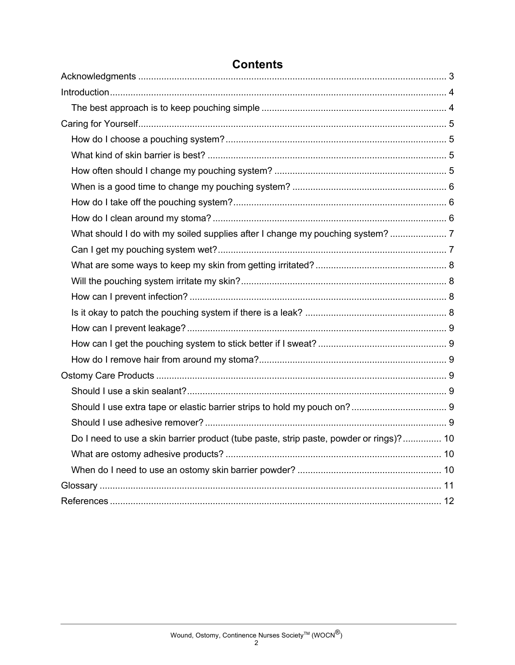| What should I do with my soiled supplies after I change my pouching system?  7         |  |
|----------------------------------------------------------------------------------------|--|
|                                                                                        |  |
|                                                                                        |  |
|                                                                                        |  |
|                                                                                        |  |
|                                                                                        |  |
|                                                                                        |  |
|                                                                                        |  |
|                                                                                        |  |
|                                                                                        |  |
|                                                                                        |  |
|                                                                                        |  |
|                                                                                        |  |
| Do I need to use a skin barrier product (tube paste, strip paste, powder or rings)? 10 |  |
|                                                                                        |  |
|                                                                                        |  |
|                                                                                        |  |
|                                                                                        |  |

# **Contents**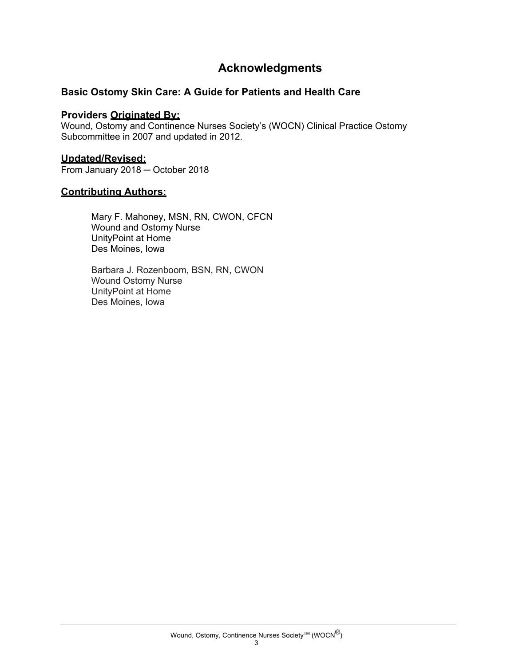## **Acknowledgments**

#### **Basic Ostomy Skin Care: A Guide for Patients and Health Care**

#### **Providers Originated By:**

Wound, Ostomy and Continence Nurses Society's (WOCN) Clinical Practice Ostomy Subcommittee in 2007 and updated in 2012.

#### **Updated/Revised:**

From January 2018 ─ October 2018

#### **Contributing Authors:**

Mary F. Mahoney, MSN, RN, CWON, CFCN Wound and Ostomy Nurse UnityPoint at Home Des Moines, Iowa

Barbara J. Rozenboom, BSN, RN, CWON Wound Ostomy Nurse UnityPoint at Home Des Moines, Iowa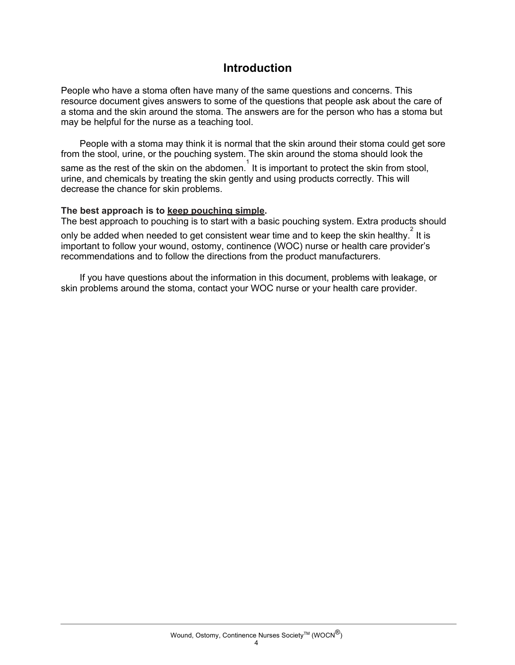### **Introduction**

People who have a stoma often have many of the same questions and concerns. This resource document gives answers to some of the questions that people ask about the care of a stoma and the skin around the stoma. The answers are for the person who has a stoma but may be helpful for the nurse as a teaching tool.

People with a stoma may think it is normal that the skin around their stoma could get sore from the stool, urine, or the pouching system. The skin around the stoma should look the same as the rest of the skin on the abdomen.<sup>1</sup> It is important to protect the skin from stool, urine, and chemicals by treating the skin gently and using products correctly. This will decrease the chance for skin problems.

#### **The best approach is to keep pouching simple.**

The best approach to pouching is to start with a basic pouching system. Extra products should only be added when needed to get consistent wear time and to keep the skin healthy.  $\overset{2}{\phantom{2}}$  It is important to follow your wound, ostomy, continence (WOC) nurse or health care provider's recommendations and to follow the directions from the product manufacturers.

If you have questions about the information in this document, problems with leakage, or skin problems around the stoma, contact your WOC nurse or your health care provider.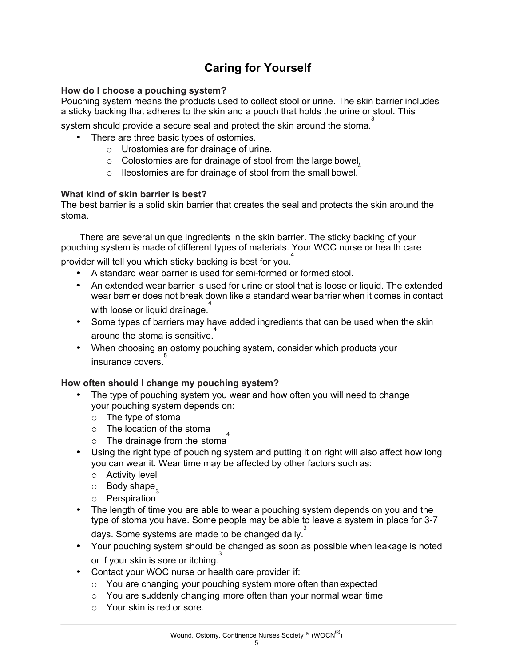# **Caring for Yourself**

#### **How do I choose a pouching system?**

Pouching system means the products used to collect stool or urine. The skin barrier includes a sticky backing that adheres to the skin and a pouch that holds the urine or stool. This

system should provide a secure seal and protect the skin around the stoma.<sup>3</sup>

- There are three basic types of ostomies.
	- o Urostomies are for drainage of urine.
	- $\circ$  Colostomies are for drainage of stool from the large bowel<sub>4</sub>
	- o Ileostomies are for drainage of stool from the small bowel.

#### **What kind of skin barrier is best?**

The best barrier is a solid skin barrier that creates the seal and protects the skin around the stoma.

There are several unique ingredients in the skin barrier. The sticky backing of your pouching system is made of different types of materials. Your WOC nurse or health care provider will tell you which sticky backing is best for you.<sup>4</sup>

- A standard wear barrier is used for semi-formed or formed stool.
- An extended wear barrier is used for urine or stool that is loose or liquid. The extended wear barrier does not break down like a standard wear barrier when it comes in contact with loose or liquid drainage. 4
- Some types of barriers may have added ingredients that can be used when the skin around the stoma is sensitive.<sup>4</sup>
- When choosing an ostomy pouching system, consider which products your insurance covers.<sup>5</sup>

#### **How often should I change my pouching system?**

- The type of pouching system you wear and how often you will need to change your pouching system depends on:
	- o The type of stoma
	- o The location of the stoma
	- $\circ$  The drainage from the stoma<sup>4</sup>
- Using the right type of pouching system and putting it on right will also affect how long you can wear it. Wear time may be affected by other factors such as:
	- o Activity level
	- $\circ$  Body shape $\frac{1}{3}$
	- o Perspiration
- The length of time you are able to wear a pouching system depends on you and the type of stoma you have. Some people may be able to leave a system in place for 3-7

days. Some systems are made to be changed daily.<sup>3</sup>

- Your pouching system should be changed as soon as possible when leakage is noted or if your skin is sore or itching.<sup>3</sup>
- Contact your WOC nurse or health care provider if:
	- o You are changing your pouching system more often thanexpected
	- o You are suddenly changing more often than your normal wear time 1
	- o Your skin is red or sore.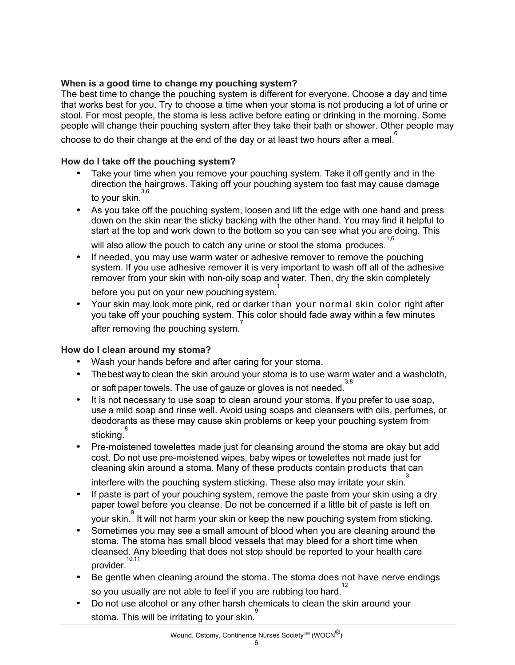#### **When is a good time to change my pouching system?**

The best time to change the pouching system is different for everyone. Choose a day and time that works best for you. Try to choose a time when your stoma is not producing a lot of urine or stool. For most people, the stoma is less active before eating or drinking in the morning. Some people will change their pouching system after they take their bath or shower. Other people may

choose to do their change at the end of the day or at least two hours after a meal.  $\overset{6}{\circ}$ 

#### **How do I take off the pouching system?**

- Take your time when you remove your pouching system. Take it off gently and in the direction the hairgrows. Taking off your pouching system too fast may cause damage to your skin. 3,6
- As you take off the pouching system, loosen and lift the edge with one hand and press down on the skin near the sticky backing with the other hand. You may find it helpful to start at the top and work down to the bottom so you can see what you are doing. This

will also allow the pouch to catch any urine or stool the stoma produces. 1,6

- If needed, you may use warm water or adhesive remover to remove the pouching system. If you use adhesive remover it is very important to wash off all of the adhesive remover from your skin with non-oily soap and water. Then, dry the skin completely before you put on your new pouching system. 1
- Your skin may look more pink, red or darker than your normal skin color right after you take off your pouching system. This color should fade away within a few minutes after removing the pouching system.<sup>7</sup>

#### **How do I clean around my stoma?**

- Wash your hands before and after caring for your stoma.
- The best way to clean the skin around your stoma is to use warm water and a washcloth, or soft paper towels. The use of gauze or gloves is not needed.<sup>3,8</sup>
- It is not necessary to use soap to clean around your stoma. If you prefer to use soap, use a mild soap and rinse well. Avoid using soaps and cleansers with oils, perfumes, or deodorants as these may cause skin problems or keep your pouching system from <sup>8</sup><br>sticking.<sup>8</sup>
- Pre-moistened towelettes made just for cleansing around the stoma are okay but add cost. Do not use pre-moistened wipes, baby wipes or towelettes not made just for cleaning skin around a stoma. Many of these products contain products that can

interfere with the pouching system sticking. These also may irritate your skin.<sup>3</sup>

- If paste is part of your pouching system, remove the paste from your skin using a dry paper towel before you cleanse. Do not be concerned if a little bit of paste is left on .<br>your skin. <sup>9</sup> It will not harm your skin or keep the new pouching system from sticking.
- Sometimes you may see a small amount of blood when you are cleaning around the stoma. The stoma has small blood vessels that may bleed for a short time when cleansed. Any bleeding that does not stop should be reported to your health care provider. 10,11
- Be gentle when cleaning around the stoma. The stoma does not have nerve endings so you usually are not able to feel if you are rubbing too hard.<sup>12</sup>
- Do not use alcohol or any other harsh chemicals to clean the skin around your stoma. This will be irritating to your skin.<sup>9</sup>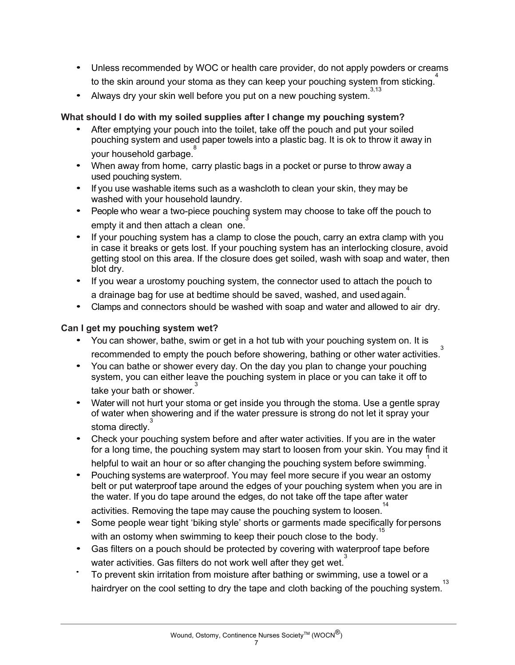- Unless recommended by WOC or health care provider, do not apply powders or creams to the skin around your stoma as they can keep your pouching system from sticking.<sup>4</sup>
- Always dry your skin well before you put on a new pouching system. 3,13

#### **What should I do with my soiled supplies after I change my pouching system?**

- After emptying your pouch into the toilet, take off the pouch and put your soiled pouching system and used paper towels into a plastic bag. It is ok to throw it away in your household garbage.<sup>8</sup>
- When away from home, carry plastic bags in a pocket or purse to throw away a used pouching system.
- If you use washable items such as a washcloth to clean your skin, they may be washed with your household laundry.
- People who wear a two-piece pouching system may choose to take off the pouch to empty it and then attach a clean one. 3
- If your pouching system has a clamp to close the pouch, carry an extra clamp with you in case it breaks or gets lost. If your pouching system has an interlocking closure, avoid getting stool on this area. If the closure does get soiled, wash with soap and water, then blot dry.
- If you wear a urostomy pouching system, the connector used to attach the pouch to a drainage bag for use at bedtime should be saved, washed, and used again.<sup>4</sup>
- Clamps and connectors should be washed with soap and water and allowed to air dry.

#### **Can I get my pouching system wet?**

- You can shower, bathe, swim or get in a hot tub with your pouching system on. It is recommended to empty the pouch before showering, bathing or other water activities. 3
- You can bathe or shower every day. On the day you plan to change your pouching system, you can either leave the pouching system in place or you can take it off to take your bath or shower.<sup>3</sup>
- Water will not hurt your stoma or get inside you through the stoma. Use a gentle spray of water when showering and if the water pressure is strong do not let it spray your stoma directly.<sup>3</sup>
- Check your pouching system before and after water activities. If you are in the water for a long time, the pouching system may start to loosen from your skin. You may find it helpful to wait an hour or so after changing the pouching system before swimming.
- Pouching systems are waterproof. You may feel more secure if you wear an ostomy belt or put waterproof tape around the edges of your pouching system when you are in the water. If you do tape around the edges, do not take off the tape after water

activities. Removing the tape may cause the pouching system to loosen.<sup>14</sup>

- Some people wear tight 'biking style' shorts or garments made specifically for persons with an ostomy when swimming to keep their pouch close to the body.<sup>15</sup>
- Gas filters on a pouch should be protected by covering with waterproof tape before water activities. Gas filters do not work well after they get wet.<sup>3</sup>
- To prevent skin irritation from moisture after bathing or swimming, use a towel or a hairdryer on the cool setting to dry the tape and cloth backing of the pouching system. 13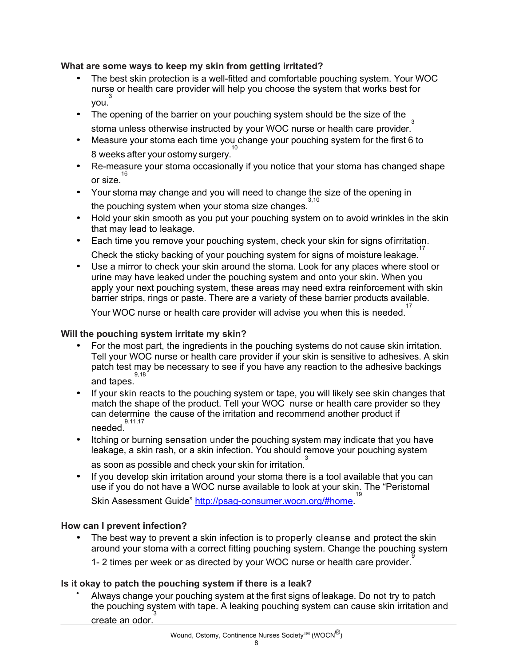#### **What are some ways to keep my skin from getting irritated?**

- The best skin protection is a well-fitted and comfortable pouching system. Your WOC nurse or health care provider will help you choose the system that works best for you. 3
- The opening of the barrier on your pouching system should be the size of the stoma unless otherwise instructed by your WOC nurse or health care provider.<sup>3</sup>
- Measure your stoma each time you change your pouching system for the first 6 to <sup>10</sup><br>8 weeks after your ostomy surgery.
- Re-measure your stoma occasionally if you notice that your stoma has changed shape <sup>16</sup> or size.
- Your stoma may change and you will need to change the size of the opening in the pouching system when your stoma size changes. 3,10
- Hold your skin smooth as you put your pouching system on to avoid wrinkles in the skin that may lead to leakage.
- Each time you remove your pouching system, check your skin for signs ofirritation. Check the sticky backing of your pouching system for signs of moisture leakage.<sup>17</sup>
- Use a mirror to check your skin around the stoma. Look for any places where stool or urine may have leaked under the pouching system and onto your skin. When you apply your next pouching system, these areas may need extra reinforcement with skin barrier strips, rings or paste. There are a variety of these barrier products available.

Your WOC nurse or health care provider will advise you when this is needed. 17

#### **Will the pouching system irritate my skin?**

- For the most part, the ingredients in the pouching systems do not cause skin irritation. Tell your WOC nurse or health care provider if your skin is sensitive to adhesives. A skin patch test may be necessary to see if you have any reaction to the adhesive backings and tapes. 9,18
- If your skin reacts to the pouching system or tape, you will likely see skin changes that match the shape of the product. Tell your WOC nurse or health care provider so they can determine the cause of the irritation and recommend another product if needed. 9,11,17
- Itching or burning sensation under the pouching system may indicate that you have leakage, a skin rash, or a skin infection. You should remove your pouching system

as soon as possible and check your skin for irritation. $\frac{3}{4}$ 

• If you develop skin irritation around your stoma there is a tool available that you can use if you do not have a WOC nurse available to look at your skin. The "Peristomal <sup>19</sup><br>Skin Assessment Guide" <u>http://psag-consumer.wocn.org/#home</u>.<sup>19</sup>

#### **How can I prevent infection?**

The best way to prevent a skin infection is to properly cleanse and protect the skin around your stoma with a correct fitting pouching system. Change the pouching system 1- 2 times per week or as directed by your WOC nurse or health care provider.

#### **Is it okay to patch the pouching system if there is a leak?**

• Always change your pouching system at the first signs of leakage. Do not try to patch the pouching system with tape. A leaking pouching system can cause skin irritation and create an odor. 3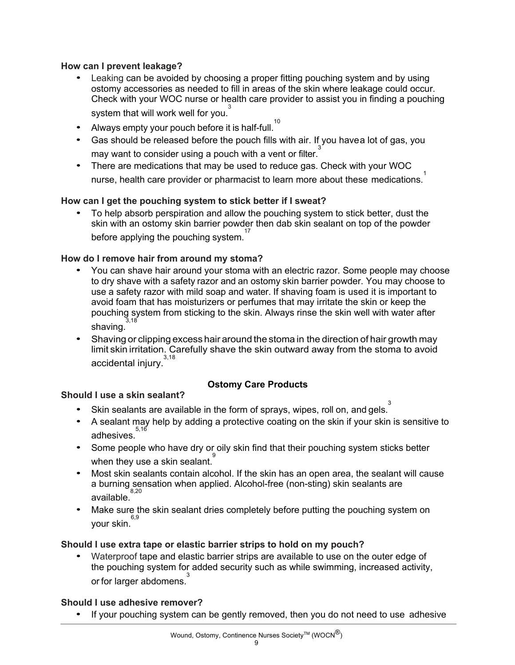#### **How can I prevent leakage?**

- Leaking can be avoided by choosing a proper fitting pouching system and by using ostomy accessories as needed to fill in areas of the skin where leakage could occur. Check with your WOC nurse or health care provider to assist you in finding a pouching system that will work well for you.<sup>3</sup>
- Always empty your pouch before it is half-full.<sup>10</sup>
- Gas should be released before the pouch fills with air. If you havea lot of gas, you may want to consider using a pouch with a vent or filter. $\stackrel{3}{\,}$
- There are medications that may be used to reduce gas. Check with your WOC nurse, health care provider or pharmacist to learn more about these medications.<sup>1</sup>

#### **How can I get the pouching system to stick better if I sweat?**

• To help absorb perspiration and allow the pouching system to stick better, dust the skin with an ostomy skin barrier powder then dab skin sealant on top of the powder before applying the pouching system. 17

#### **How do I remove hair from around my stoma?**

- You can shave hair around your stoma with an electric razor. Some people may choose to dry shave with a safety razor and an ostomy skin barrier powder. You may choose to use a safety razor with mild soap and water. If shaving foam is used it is important to avoid foam that has moisturizers or perfumes that may irritate the skin or keep the pouching system from sticking to the skin. Always rinse the skin well with water after shaving. 3,18
- Shaving or clipping excess hair around the stoma in the direction of hair growth may limit skin irritation. Carefully shave the skin outward away from the stoma to avoid accidental injury.  $3,18$

#### **Ostomy Care Products**

#### **Should I use a skin sealant?**

- Skin sealants are available in the form of sprays, wipes, roll on, and gels.
- A sealant may help by adding a protective coating on the skin if your skin is sensitive to <sup>5,16</sup><br>adhesives.
- Some people who have dry or oily skin find that their pouching system sticks better when they use a skin sealant.<sup>9</sup>
- Most skin sealants contain alcohol. If the skin has an open area, the sealant will cause a burning sensation when applied. Alcohol-free (non-sting) skin sealants are available. 8,20
- Make sure the skin sealant dries completely before putting the pouching system on your skin. 6,9

#### **Should I use extra tape or elastic barrier strips to hold on my pouch?**

• Waterproof tape and elastic barrier strips are available to use on the outer edge of the pouching system for added security such as while swimming, increased activity, or for larger abdomens.<sup>3</sup>

#### **Should I use adhesive remover?**

• If your pouching system can be gently removed, then you do not need to use adhesive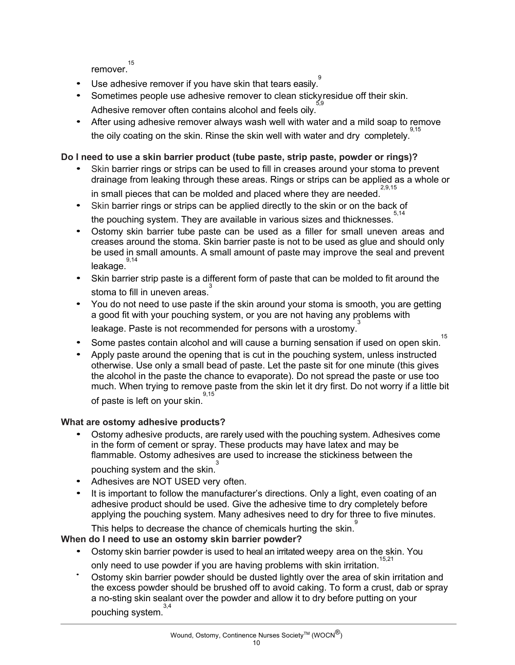remover. 15

- Use adhesive remover if you have skin that tears easily.<sup>9</sup>
- Sometimes people use adhesive remover to clean stickyresidue off their skin. Adhesive remover often contains alcohol and feels oily. 5,9
- After using adhesive remover always wash well with water and a mild soap to remove the oily coating on the skin. Rinse the skin well with water and dry completely. 9,15

#### **Do I need to use a skin barrier product (tube paste, strip paste, powder or rings)?**

- Skin barrier rings or strips can be used to fill in creases around your stoma to prevent drainage from leaking through these areas. Rings or strips can be applied as a whole or
	- in small pieces that can be molded and placed where they are needed. 2,9,15
- Skin barrier rings or strips can be applied directly to the skin or on the back of the pouching system. They are available in various sizes and thicknesses. 5,14
- Ostomy skin barrier tube paste can be used as a filler for small uneven areas and creases around the stoma. Skin barrier paste is not to be used as glue and should only be used in small amounts. A small amount of paste may improve the seal and prevent leakage. 9,14
- Skin barrier strip paste is a different form of paste that can be molded to fit around the stoma to fill in uneven areas.<sup>3</sup>
- You do not need to use paste if the skin around your stoma is smooth, you are getting a good fit with your pouching system, or you are not having any problems with leakage. Paste is not recommended for persons with a urostomy.
- Some pastes contain alcohol and will cause a burning sensation if used on open skin. 15
- Apply paste around the opening that is cut in the pouching system, unless instructed otherwise. Use only a small bead of paste. Let the paste sit for one minute (this gives the alcohol in the paste the chance to evaporate). Do not spread the paste or use too much. When trying to remove paste from the skin let it dry first. Do not worry if a little bit of paste is left on your skin. 9,15

#### **What are ostomy adhesive products?**

- Ostomy adhesive products, are rarely used with the pouching system. Adhesives come in the form of cement or spray. These products may have latex and may be flammable. Ostomy adhesives are used to increase the stickiness between the pouching system and the skin.<sup>3</sup>
- Adhesives are NOT USED very often.
- It is important to follow the manufacturer's directions. Only a light, even coating of an adhesive product should be used. Give the adhesive time to dry completely before applying the pouching system. Many adhesives need to dry for three to five minutes.

This helps to decrease the chance of chemicals hurting the skin.<sup>9</sup>

#### **When do I need to use an ostomy skin barrier powder?**

- Ostomy skin barrier powder is used to heal an irritated weepy area on the skin. You only need to use powder if you are having problems with skin irritation. 15,21
- Ostomy skin barrier powder should be dusted lightly over the area of skin irritation and the excess powder should be brushed off to avoid caking. To form a crust, dab or spray a no-sting skin sealant over the powder and allow it to dry before putting on your pouching system.<sup>3,4</sup>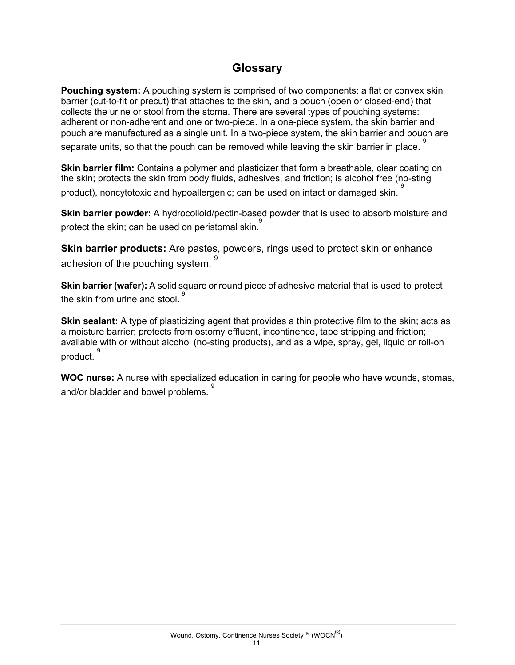# **Glossary**

**Pouching system:** A pouching system is comprised of two components: a flat or convex skin barrier (cut-to-fit or precut) that attaches to the skin, and a pouch (open or closed-end) that collects the urine or stool from the stoma. There are several types of pouching systems: adherent or non-adherent and one or two-piece. In a one-piece system, the skin barrier and pouch are manufactured as a single unit. In a two-piece system, the skin barrier and pouch are separate units, so that the pouch can be removed while leaving the skin barrier in place.  $^\mathrm{9}$ 

**Skin barrier film:** Contains a polymer and plasticizer that form a breathable, clear coating on the skin; protects the skin from body fluids, adhesives, and friction; is alcohol free (no-sting product), noncytotoxic and hypoallergenic; can be used on intact or damaged skin. 9

**Skin barrier powder:** A hydrocolloid/pectin-based powder that is used to absorb moisture and protect the skin; can be used on peristomal skin.<sup>9</sup>

**Skin barrier products:** Are pastes, powders, rings used to protect skin or enhance adhesion of the pouching system. <sup>9</sup>

**Skin barrier (wafer):** A solid square or round piece of adhesive material that is used to protect the skin from urine and stool.  $\overset{\text{\normalsize{9}}}{}$ 

**Skin sealant:** A type of plasticizing agent that provides a thin protective film to the skin; acts as a moisture barrier; protects from ostomy effluent, incontinence, tape stripping and friction; available with or without alcohol (no-sting products), and as a wipe, spray, gel, liquid or roll-on product. 9

**WOC nurse:** A nurse with specialized education in caring for people who have wounds, stomas, and/or bladder and bowel problems. 9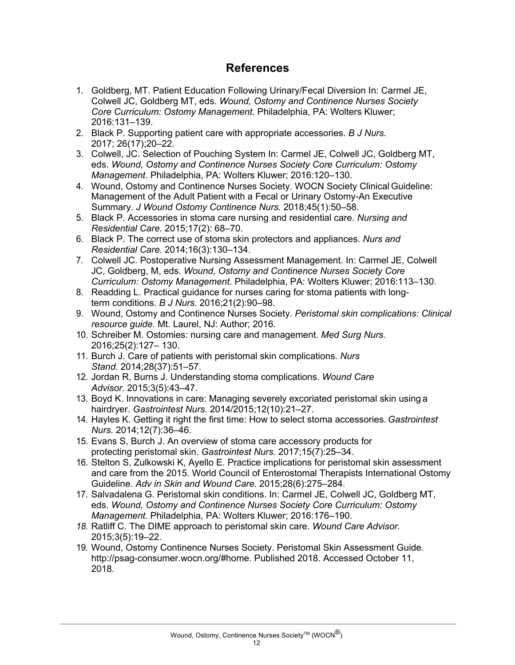# **References**

- 1. Goldberg, MT. Patient Education Following Urinary/Fecal Diversion In: Carmel JE, Colwell JC, Goldberg MT, eds. *Wound, Ostomy and Continence Nurses Society Core Curriculum: Ostomy Management*. Philadelphia, PA: Wolters Kluwer; 2016:131–139.
- 2. Black P. Supporting patient care with appropriate accessories. *B J Nurs.*  2017; 26(17);20–22.
- 3. Colwell, JC. Selection of Pouching System In: Carmel JE, Colwell JC, Goldberg MT, eds. *Wound, Ostomy and Continence Nurses Society Core Curriculum: Ostomy Management*. Philadelphia, PA: Wolters Kluwer; 2016:120–130.
- 4. Wound, Ostomy and Continence Nurses Society. WOCN Society Clinical Guideline: Management of the Adult Patient with a Fecal or Urinary Ostomy-An Executive Summary. *J Wound Ostomy Continence Nurs.* 2018;45(1):50–58.
- 5. Black P. Accessories in stoma care nursing and residential care. *Nursing and Residential Care.* 2015;17(2): 68–70.
- 6. Black P. The correct use of stoma skin protectors and appliances. *Nurs and Residential Care.* 2014;16(3):130–134.
- 7. Colwell JC. Postoperative Nursing Assessment Management. In: Carmel JE, Colwell JC, Goldberg, M, eds. *Wound, Ostomy and Continence Nurses Society Core Curriculum: Ostomy Management*. Philadelphia, PA: Wolters Kluwer; 2016:113–130.
- 8. Readding L. Practical guidance for nurses caring for stoma patients with longterm conditions. *B J Nurs.* 2016;21(2):90–98.
- 9. Wound, Ostomy and Continence Nurses Society. *Peristomal skin complications: Clinical resource guide.* Mt. Laurel, NJ: Author; 2016.
- 10. Schreiber M. Ostomies: nursing care and management. *Med Surg Nurs.*  2016;25(2):127– 130.
- 11. Burch J. Care of patients with peristomal skin complications. *Nurs Stand*. 2014;28(37):51–57.
- 12. Jordan R, Burns J. Understanding stoma complications. *Wound Care Advisor*. 2015;3(5):43–47.
- 13. Boyd K. Innovations in care: Managing severely excoriated peristomal skin using a hairdryer. *Gastrointest Nurs*. 2014/2015;12(10):21–27.
- 14. Hayles K. Getting it right the first time: How to select stoma accessories. *Gastrointest Nurs.* 2014;12(7):36–46.
- 15. Evans S, Burch J. An overview of stoma care accessory products for protecting peristomal skin. *Gastrointest Nurs.* 2017;15(7):25–34.
- 16. Stelton S, Zulkowski K, Ayello E. Practice implications for peristomal skin assessment and care from the 2015. World Council of Enterostomal Therapists International Ostomy Guideline. *Adv in Skin and Wound Care.* 2015;28(6):275–284.
- 17. Salvadalena G. Peristomal skin conditions. In: Carmel JE, Colwell JC, Goldberg MT, eds. *Wound, Ostomy and Continence Nurses Society Core Curriculum: Ostomy Management*. Philadelphia, PA: Wolters Kluwer; 2016:176–190.
- *18.* Ratliff C. The DIME approach to peristomal skin care. *Wound Care Advisor.* 2015;3(5):19–22.
- 19. Wound, Ostomy Continence Nurses Society. Peristomal Skin Assessment Guide. http://psag-consumer.wocn.org/#home. Published 2018. Accessed October 11, 2018.